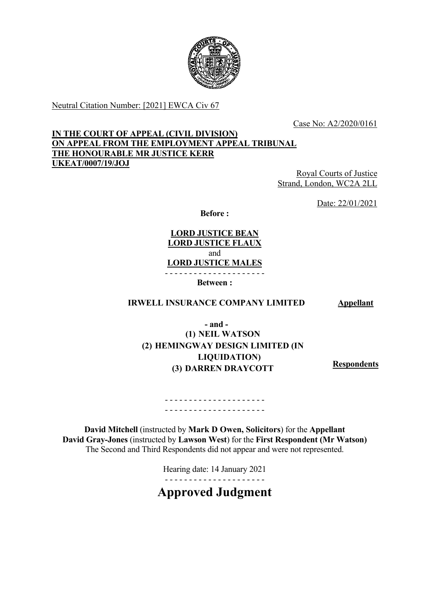

Neutral Citation Number: [2021] EWCA Civ 67

Case No: A2/2020/0161

# **IN THE COURT OF APPEAL (CIVIL DIVISION) ON APPEAL FROM THE EMPLOYMENT APPEAL TRIBUNAL THE HONOURABLE MR JUSTICE KERR UKEAT/0007/19/JOJ**

Royal Courts of Justice Strand, London, WC2A 2LL

Date: 22/01/2021

**Before :**

**LORD JUSTICE BEAN LORD JUSTICE FLAUX** and **LORD JUSTICE MALES** - - - - - - - - - - - - - - - - - - - - -

**Between :**

# **IRWELL INSURANCE COMPANY LIMITED Appellant**

**- and - (1) NEIL WATSON (2) HEMINGWAY DESIGN LIMITED (IN LIQUIDATION) (3) DARREN DRAYCOTT Respondents**

- - - - - - - - - - - - - - - - - - - - - - - - - - - - - - - - - - - - - - - - - -

**David Mitchell** (instructed by **Mark D Owen, Solicitors**) for the **Appellant David Gray-Jones** (instructed by **Lawson West**) for the **First Respondent (Mr Watson)** The Second and Third Respondents did not appear and were not represented.

> Hearing date: 14 January 2021 - - - - - - - - - - - - - - - - - - - - -

# **Approved Judgment**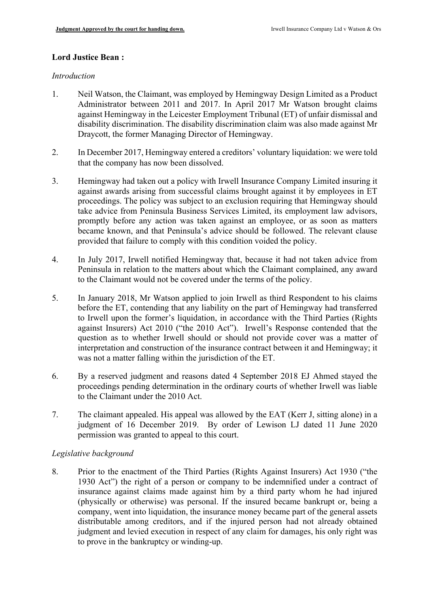## **Lord Justice Bean :**

#### *Introduction*

- 1. Neil Watson, the Claimant, was employed by Hemingway Design Limited as a Product Administrator between 2011 and 2017. In April 2017 Mr Watson brought claims against Hemingway in the Leicester Employment Tribunal (ET) of unfair dismissal and disability discrimination. The disability discrimination claim was also made against Mr Draycott, the former Managing Director of Hemingway.
- 2. In December 2017, Hemingway entered a creditors' voluntary liquidation: we were told that the company has now been dissolved.
- 3. Hemingway had taken out a policy with Irwell Insurance Company Limited insuring it against awards arising from successful claims brought against it by employees in ET proceedings. The policy was subject to an exclusion requiring that Hemingway should take advice from Peninsula Business Services Limited, its employment law advisors, promptly before any action was taken against an employee, or as soon as matters became known, and that Peninsula's advice should be followed. The relevant clause provided that failure to comply with this condition voided the policy.
- 4. In July 2017, Irwell notified Hemingway that, because it had not taken advice from Peninsula in relation to the matters about which the Claimant complained, any award to the Claimant would not be covered under the terms of the policy.
- 5. In January 2018, Mr Watson applied to join Irwell as third Respondent to his claims before the ET, contending that any liability on the part of Hemingway had transferred to Irwell upon the former's liquidation, in accordance with the Third Parties (Rights against Insurers) Act 2010 ("the 2010 Act"). Irwell's Response contended that the question as to whether Irwell should or should not provide cover was a matter of interpretation and construction of the insurance contract between it and Hemingway; it was not a matter falling within the jurisdiction of the ET.
- 6. By a reserved judgment and reasons dated 4 September 2018 EJ Ahmed stayed the proceedings pending determination in the ordinary courts of whether Irwell was liable to the Claimant under the 2010 Act.
- 7. The claimant appealed. His appeal was allowed by the EAT (Kerr J, sitting alone) in a judgment of 16 December 2019. By order of Lewison LJ dated 11 June 2020 permission was granted to appeal to this court.

## *Legislative background*

8. Prior to the enactment of the Third Parties (Rights Against Insurers) Act 1930 ("the 1930 Act") the right of a person or company to be indemnified under a contract of insurance against claims made against him by a third party whom he had injured (physically or otherwise) was personal. If the insured became bankrupt or, being a company, went into liquidation, the insurance money became part of the general assets distributable among creditors, and if the injured person had not already obtained judgment and levied execution in respect of any claim for damages, his only right was to prove in the bankruptcy or winding-up.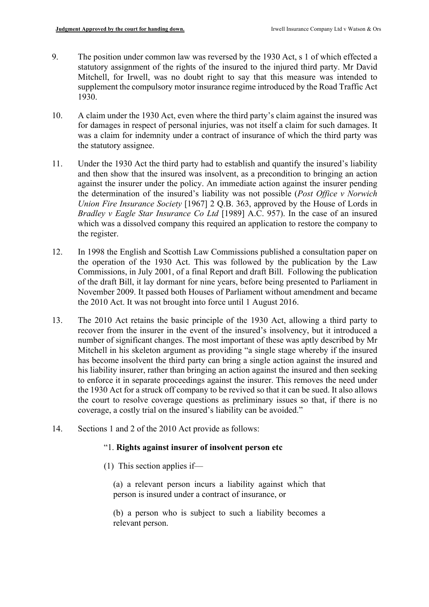- 9. The position under common law was reversed by the 1930 Act, s 1 of which effected a statutory assignment of the rights of the insured to the injured third party. Mr David Mitchell, for Irwell, was no doubt right to say that this measure was intended to supplement the compulsory motor insurance regime introduced by the Road Traffic Act 1930.
- 10. A claim under the 1930 Act, even where the third party's claim against the insured was for damages in respect of personal injuries, was not itself a claim for such damages. It was a claim for indemnity under a contract of insurance of which the third party was the statutory assignee.
- 11. Under the 1930 Act the third party had to establish and quantify the insured's liability and then show that the insured was insolvent, as a precondition to bringing an action against the insurer under the policy. An immediate action against the insurer pending the determination of the insured's liability was not possible (*Post Office v Norwich Union Fire Insurance Society* [1967] 2 Q.B. 363, approved by the House of Lords in *Bradley v Eagle Star Insurance Co Ltd* [1989] A.C. 957). In the case of an insured which was a dissolved company this required an application to restore the company to the register.
- 12. In 1998 the English and Scottish Law Commissions published a consultation paper on the operation of the 1930 Act. This was followed by the publication by the Law Commissions, in July 2001, of a final Report and draft Bill. Following the publication of the draft Bill, it lay dormant for nine years, before being presented to Parliament in November 2009. It passed both Houses of Parliament without amendment and became the 2010 Act. It was not brought into force until 1 August 2016.
- 13. The 2010 Act retains the basic principle of the 1930 Act, allowing a third party to recover from the insurer in the event of the insured's insolvency, but it introduced a number of significant changes. The most important of these was aptly described by Mr Mitchell in his skeleton argument as providing "a single stage whereby if the insured has become insolvent the third party can bring a single action against the insured and his liability insurer, rather than bringing an action against the insured and then seeking to enforce it in separate proceedings against the insurer. This removes the need under the 1930 Act for a struck off company to be revived so that it can be sued. It also allows the court to resolve coverage questions as preliminary issues so that, if there is no coverage, a costly trial on the insured's liability can be avoided."
- 14. Sections 1 and 2 of the 2010 Act provide as follows:

## "1. **Rights against insurer of insolvent person etc**

(1) This section applies if—

(a) a relevant person incurs a liability against which that person is insured under a contract of insurance, or

(b) a person who is subject to such a liability becomes a relevant person.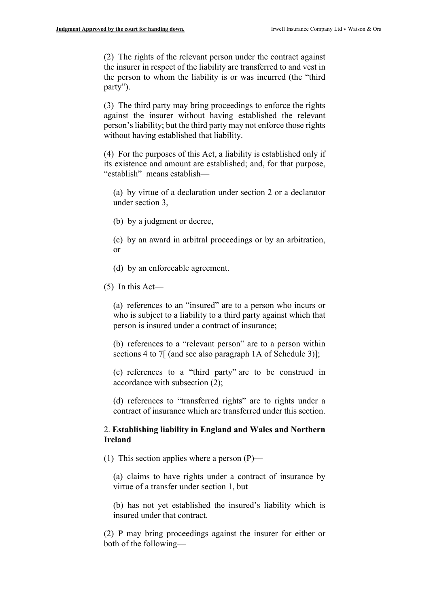(2) The rights of the relevant person under the contract against the insurer in respect of the liability are transferred to and vest in the person to whom the liability is or was incurred (the "third party").

(3) The third party may bring proceedings to enforce the rights against the insurer without having established the relevant person's liability; but the third party may not enforce those rights without having established that liability.

(4) For the purposes of this Act, a liability is established only if its existence and amount are established; and, for that purpose, "establish" means establish—

(a) by virtue of a declaration under section 2 or a declarator under section 3,

- (b) by a judgment or decree,
- (c) by an award in arbitral proceedings or by an arbitration, or
- (d) by an enforceable agreement.
- $(5)$  In this Act—

(a) references to an "insured" are to a person who incurs or who is subject to a liability to a third party against which that person is insured under a contract of insurance;

(b) references to a "relevant person" are to a person within sections 4 to 7[ (and see also paragraph 1A of Schedule 3)];

(c) references to a "third party" are to be construed in accordance with subsection (2);

(d) references to "transferred rights" are to rights under a contract of insurance which are transferred under this section.

## 2. **Establishing liability in England and Wales and Northern Ireland**

(1) This section applies where a person  $(P)$ —

(a) claims to have rights under a contract of insurance by virtue of a transfer under section 1, but

(b) has not yet established the insured's liability which is insured under that contract.

(2) P may bring proceedings against the insurer for either or both of the following—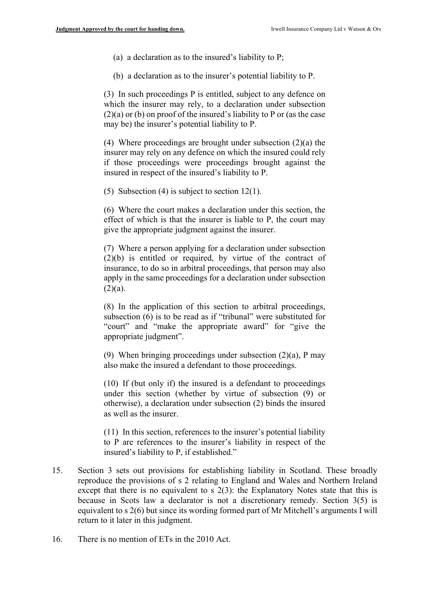- (a) a declaration as to the insured's liability to P;
- (b) a declaration as to the insurer's potential liability to P.

(3) In such proceedings P is entitled, subject to any defence on which the insurer may rely, to a declaration under subsection (2)(a) or (b) on proof of the insured's liability to P or (as the case may be) the insurer's potential liability to P.

(4) Where proceedings are brought under subsection (2)(a) the insurer may rely on any defence on which the insured could rely if those proceedings were proceedings brought against the insured in respect of the insured's liability to P.

(5) Subsection (4) is subject to section 12(1).

(6) Where the court makes a declaration under this section, the effect of which is that the insurer is liable to P, the court may give the appropriate judgment against the insurer.

(7) Where a person applying for a declaration under subsection (2)(b) is entitled or required, by virtue of the contract of insurance, to do so in arbitral proceedings, that person may also apply in the same proceedings for a declaration under subsection  $(2)(a)$ .

(8) In the application of this section to arbitral proceedings, subsection (6) is to be read as if "tribunal" were substituted for "court" and "make the appropriate award" for "give the appropriate judgment".

(9) When bringing proceedings under subsection (2)(a), P may also make the insured a defendant to those proceedings.

(10) If (but only if) the insured is a defendant to proceedings under this section (whether by virtue of subsection (9) or otherwise), a declaration under subsection (2) binds the insured as well as the insurer.

(11) In this section, references to the insurer's potential liability to P are references to the insurer's liability in respect of the insured's liability to P, if established."

- 15. Section 3 sets out provisions for establishing liability in Scotland. These broadly reproduce the provisions of s 2 relating to England and Wales and Northern Ireland except that there is no equivalent to  $s$  2(3): the Explanatory Notes state that this is because in Scots law a declarator is not a discretionary remedy. Section 3(5) is equivalent to s 2(6) but since its wording formed part of Mr Mitchell's arguments I will return to it later in this judgment.
- 16. There is no mention of ETs in the 2010 Act.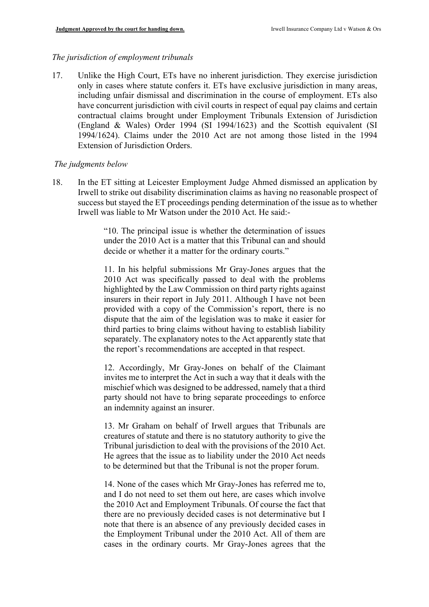# *The jurisdiction of employment tribunals*

17. Unlike the High Court, ETs have no inherent jurisdiction. They exercise jurisdiction only in cases where statute confers it. ETs have exclusive jurisdiction in many areas, including unfair dismissal and discrimination in the course of employment. ETs also have concurrent jurisdiction with civil courts in respect of equal pay claims and certain contractual claims brought under Employment Tribunals Extension of Jurisdiction (England & Wales) Order 1994 (SI 1994/1623) and the Scottish equivalent (SI 1994/1624). Claims under the 2010 Act are not among those listed in the 1994 Extension of Jurisdiction Orders.

## *The judgments below*

18. In the ET sitting at Leicester Employment Judge Ahmed dismissed an application by Irwell to strike out disability discrimination claims as having no reasonable prospect of success but stayed the ET proceedings pending determination of the issue as to whether Irwell was liable to Mr Watson under the 2010 Act. He said:-

> "10. The principal issue is whether the determination of issues under the 2010 Act is a matter that this Tribunal can and should decide or whether it a matter for the ordinary courts."

> 11. In his helpful submissions Mr Gray-Jones argues that the 2010 Act was specifically passed to deal with the problems highlighted by the Law Commission on third party rights against insurers in their report in July 2011. Although I have not been provided with a copy of the Commission's report, there is no dispute that the aim of the legislation was to make it easier for third parties to bring claims without having to establish liability separately. The explanatory notes to the Act apparently state that the report's recommendations are accepted in that respect.

> 12. Accordingly, Mr Gray-Jones on behalf of the Claimant invites me to interpret the Act in such a way that it deals with the mischief which was designed to be addressed, namely that a third party should not have to bring separate proceedings to enforce an indemnity against an insurer.

> 13. Mr Graham on behalf of Irwell argues that Tribunals are creatures of statute and there is no statutory authority to give the Tribunal jurisdiction to deal with the provisions of the 2010 Act. He agrees that the issue as to liability under the 2010 Act needs to be determined but that the Tribunal is not the proper forum.

> 14. None of the cases which Mr Gray-Jones has referred me to, and I do not need to set them out here, are cases which involve the 2010 Act and Employment Tribunals. Of course the fact that there are no previously decided cases is not determinative but I note that there is an absence of any previously decided cases in the Employment Tribunal under the 2010 Act. All of them are cases in the ordinary courts. Mr Gray-Jones agrees that the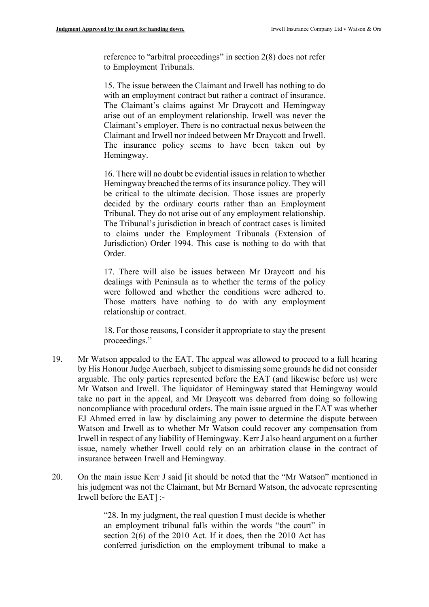reference to "arbitral proceedings" in section 2(8) does not refer to Employment Tribunals.

15. The issue between the Claimant and Irwell has nothing to do with an employment contract but rather a contract of insurance. The Claimant's claims against Mr Draycott and Hemingway arise out of an employment relationship. Irwell was never the Claimant's employer. There is no contractual nexus between the Claimant and Irwell nor indeed between Mr Draycott and Irwell. The insurance policy seems to have been taken out by Hemingway.

16. There will no doubt be evidential issues in relation to whether Hemingway breached the terms of its insurance policy. They will be critical to the ultimate decision. Those issues are properly decided by the ordinary courts rather than an Employment Tribunal. They do not arise out of any employment relationship. The Tribunal's jurisdiction in breach of contract cases is limited to claims under the Employment Tribunals (Extension of Jurisdiction) Order 1994. This case is nothing to do with that Order.

17. There will also be issues between Mr Draycott and his dealings with Peninsula as to whether the terms of the policy were followed and whether the conditions were adhered to. Those matters have nothing to do with any employment relationship or contract.

18. For those reasons, I consider it appropriate to stay the present proceedings."

- 19. Mr Watson appealed to the EAT. The appeal was allowed to proceed to a full hearing by His Honour Judge Auerbach, subject to dismissing some grounds he did not consider arguable. The only parties represented before the EAT (and likewise before us) were Mr Watson and Irwell. The liquidator of Hemingway stated that Hemingway would take no part in the appeal, and Mr Draycott was debarred from doing so following noncompliance with procedural orders. The main issue argued in the EAT was whether EJ Ahmed erred in law by disclaiming any power to determine the dispute between Watson and Irwell as to whether Mr Watson could recover any compensation from Irwell in respect of any liability of Hemingway. Kerr J also heard argument on a further issue, namely whether Irwell could rely on an arbitration clause in the contract of insurance between Irwell and Hemingway.
- 20. On the main issue Kerr J said [it should be noted that the "Mr Watson" mentioned in his judgment was not the Claimant, but Mr Bernard Watson, the advocate representing Irwell before the EAT] :-

"28. In my judgment, the real question I must decide is whether an employment tribunal falls within the words "the court" in section 2(6) of the 2010 Act. If it does, then the 2010 Act has conferred jurisdiction on the employment tribunal to make a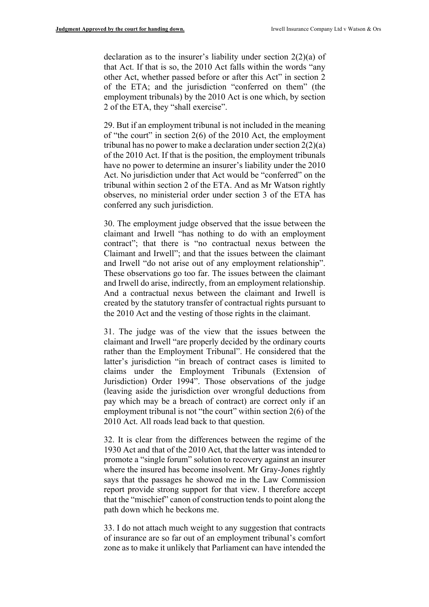declaration as to the insurer's liability under section 2(2)(a) of that Act. If that is so, the 2010 Act falls within the words "any other Act, whether passed before or after this Act" in section 2 of the ETA; and the jurisdiction "conferred on them" (the employment tribunals) by the 2010 Act is one which, by section 2 of the ETA, they "shall exercise".

29. But if an employment tribunal is not included in the meaning of "the court" in section 2(6) of the 2010 Act, the employment tribunal has no power to make a declaration under section  $2(2)(a)$ of the 2010 Act. If that is the position, the employment tribunals have no power to determine an insurer's liability under the 2010 Act. No jurisdiction under that Act would be "conferred" on the tribunal within section 2 of the ETA. And as Mr Watson rightly observes, no ministerial order under section 3 of the ETA has conferred any such jurisdiction.

30. The employment judge observed that the issue between the claimant and Irwell "has nothing to do with an employment contract"; that there is "no contractual nexus between the Claimant and Irwell"; and that the issues between the claimant and Irwell "do not arise out of any employment relationship". These observations go too far. The issues between the claimant and Irwell do arise, indirectly, from an employment relationship. And a contractual nexus between the claimant and Irwell is created by the statutory transfer of contractual rights pursuant to the 2010 Act and the vesting of those rights in the claimant.

31. The judge was of the view that the issues between the claimant and Irwell "are properly decided by the ordinary courts rather than the Employment Tribunal". He considered that the latter's jurisdiction "in breach of contract cases is limited to claims under the Employment Tribunals (Extension of Jurisdiction) Order 1994". Those observations of the judge (leaving aside the jurisdiction over wrongful deductions from pay which may be a breach of contract) are correct only if an employment tribunal is not "the court" within section 2(6) of the 2010 Act. All roads lead back to that question.

32. It is clear from the differences between the regime of the 1930 Act and that of the 2010 Act, that the latter was intended to promote a "single forum" solution to recovery against an insurer where the insured has become insolvent. Mr Gray-Jones rightly says that the passages he showed me in the Law Commission report provide strong support for that view. I therefore accept that the "mischief" canon of construction tends to point along the path down which he beckons me.

33. I do not attach much weight to any suggestion that contracts of insurance are so far out of an employment tribunal's comfort zone as to make it unlikely that Parliament can have intended the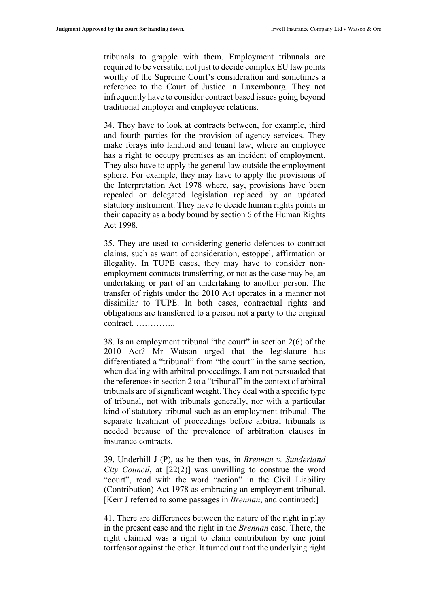tribunals to grapple with them. Employment tribunals are required to be versatile, not just to decide complex EU law points worthy of the Supreme Court's consideration and sometimes a reference to the Court of Justice in Luxembourg. They not infrequently have to consider contract based issues going beyond traditional employer and employee relations.

34. They have to look at contracts between, for example, third and fourth parties for the provision of agency services. They make forays into landlord and tenant law, where an employee has a right to occupy premises as an incident of employment. They also have to apply the general law outside the employment sphere. For example, they may have to apply the provisions of the Interpretation Act 1978 where, say, provisions have been repealed or delegated legislation replaced by an updated statutory instrument. They have to decide human rights points in their capacity as a body bound by section 6 of the Human Rights Act 1998.

35. They are used to considering generic defences to contract claims, such as want of consideration, estoppel, affirmation or illegality. In TUPE cases, they may have to consider nonemployment contracts transferring, or not as the case may be, an undertaking or part of an undertaking to another person. The transfer of rights under the 2010 Act operates in a manner not dissimilar to TUPE. In both cases, contractual rights and obligations are transferred to a person not a party to the original contract. …………..

38. Is an employment tribunal "the court" in section 2(6) of the 2010 Act? Mr Watson urged that the legislature has differentiated a "tribunal" from "the court" in the same section, when dealing with arbitral proceedings. I am not persuaded that the references in section 2 to a "tribunal" in the context of arbitral tribunals are of significant weight. They deal with a specific type of tribunal, not with tribunals generally, nor with a particular kind of statutory tribunal such as an employment tribunal. The separate treatment of proceedings before arbitral tribunals is needed because of the prevalence of arbitration clauses in insurance contracts.

39. Underhill J (P), as he then was, in *Brennan v. Sunderland City Council*, at [22(2)] was unwilling to construe the word "court", read with the word "action" in the Civil Liability (Contribution) Act 1978 as embracing an employment tribunal. [Kerr J referred to some passages in *Brennan*, and continued:]

41. There are differences between the nature of the right in play in the present case and the right in the *Brennan* case. There, the right claimed was a right to claim contribution by one joint tortfeasor against the other. It turned out that the underlying right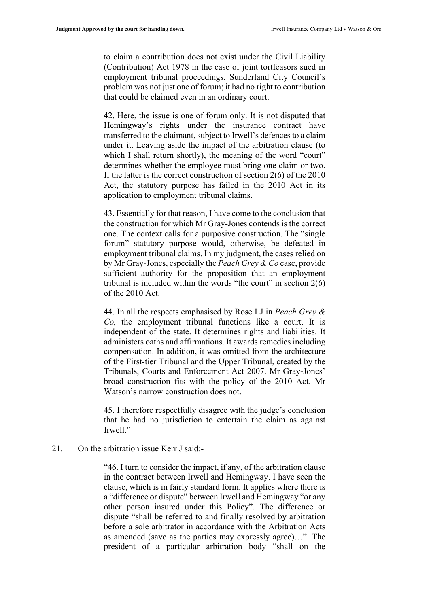to claim a contribution does not exist under the Civil Liability (Contribution) Act 1978 in the case of joint tortfeasors sued in employment tribunal proceedings. Sunderland City Council's problem was not just one of forum; it had no right to contribution that could be claimed even in an ordinary court.

42. Here, the issue is one of forum only. It is not disputed that Hemingway's rights under the insurance contract have transferred to the claimant, subject to Irwell's defences to a claim under it. Leaving aside the impact of the arbitration clause (to which I shall return shortly), the meaning of the word "court" determines whether the employee must bring one claim or two. If the latter is the correct construction of section 2(6) of the 2010 Act, the statutory purpose has failed in the 2010 Act in its application to employment tribunal claims.

43. Essentially for that reason, I have come to the conclusion that the construction for which Mr Gray-Jones contends is the correct one. The context calls for a purposive construction. The "single forum" statutory purpose would, otherwise, be defeated in employment tribunal claims. In my judgment, the cases relied on by Mr Gray-Jones, especially the *Peach Grey & Co* case, provide sufficient authority for the proposition that an employment tribunal is included within the words "the court" in section 2(6) of the 2010 Act.

44. In all the respects emphasised by Rose LJ in *Peach Grey & Co,* the employment tribunal functions like a court. It is independent of the state. It determines rights and liabilities. It administers oaths and affirmations. It awards remedies including compensation. In addition, it was omitted from the architecture of the First-tier Tribunal and the Upper Tribunal, created by the Tribunals, Courts and Enforcement Act 2007. Mr Gray-Jones' broad construction fits with the policy of the 2010 Act. Mr Watson's narrow construction does not.

45. I therefore respectfully disagree with the judge's conclusion that he had no jurisdiction to entertain the claim as against Irwell."

21. On the arbitration issue Kerr J said:-

"46. I turn to consider the impact, if any, of the arbitration clause in the contract between Irwell and Hemingway. I have seen the clause, which is in fairly standard form. It applies where there is a "difference or dispute" between Irwell and Hemingway "or any other person insured under this Policy". The difference or dispute "shall be referred to and finally resolved by arbitration before a sole arbitrator in accordance with the Arbitration Acts as amended (save as the parties may expressly agree)…". The president of a particular arbitration body "shall on the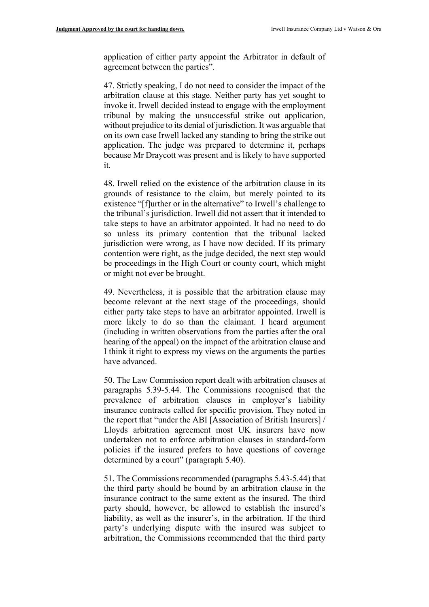application of either party appoint the Arbitrator in default of agreement between the parties".

47. Strictly speaking, I do not need to consider the impact of the arbitration clause at this stage. Neither party has yet sought to invoke it. Irwell decided instead to engage with the employment tribunal by making the unsuccessful strike out application, without prejudice to its denial of jurisdiction. It was arguable that on its own case Irwell lacked any standing to bring the strike out application. The judge was prepared to determine it, perhaps because Mr Draycott was present and is likely to have supported it.

48. Irwell relied on the existence of the arbitration clause in its grounds of resistance to the claim, but merely pointed to its existence "[f]urther or in the alternative" to Irwell's challenge to the tribunal's jurisdiction. Irwell did not assert that it intended to take steps to have an arbitrator appointed. It had no need to do so unless its primary contention that the tribunal lacked jurisdiction were wrong, as I have now decided. If its primary contention were right, as the judge decided, the next step would be proceedings in the High Court or county court, which might or might not ever be brought.

49. Nevertheless, it is possible that the arbitration clause may become relevant at the next stage of the proceedings, should either party take steps to have an arbitrator appointed. Irwell is more likely to do so than the claimant. I heard argument (including in written observations from the parties after the oral hearing of the appeal) on the impact of the arbitration clause and I think it right to express my views on the arguments the parties have advanced.

50. The Law Commission report dealt with arbitration clauses at paragraphs 5.39-5.44. The Commissions recognised that the prevalence of arbitration clauses in employer's liability insurance contracts called for specific provision. They noted in the report that "under the ABI [Association of British Insurers] / Lloyds arbitration agreement most UK insurers have now undertaken not to enforce arbitration clauses in standard-form policies if the insured prefers to have questions of coverage determined by a court" (paragraph 5.40).

51. The Commissions recommended (paragraphs 5.43-5.44) that the third party should be bound by an arbitration clause in the insurance contract to the same extent as the insured. The third party should, however, be allowed to establish the insured's liability, as well as the insurer's, in the arbitration. If the third party's underlying dispute with the insured was subject to arbitration, the Commissions recommended that the third party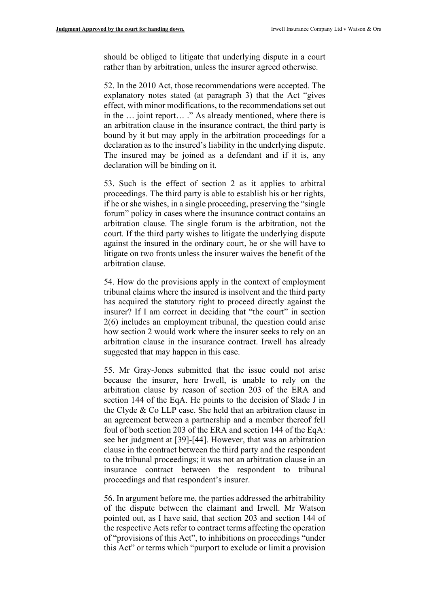should be obliged to litigate that underlying dispute in a court rather than by arbitration, unless the insurer agreed otherwise.

52. In the 2010 Act, those recommendations were accepted. The explanatory notes stated (at paragraph 3) that the Act "gives effect, with minor modifications, to the recommendations set out in the … joint report… ." As already mentioned, where there is an arbitration clause in the insurance contract, the third party is bound by it but may apply in the arbitration proceedings for a declaration as to the insured's liability in the underlying dispute. The insured may be joined as a defendant and if it is, any declaration will be binding on it.

53. Such is the effect of section 2 as it applies to arbitral proceedings. The third party is able to establish his or her rights, if he or she wishes, in a single proceeding, preserving the "single forum" policy in cases where the insurance contract contains an arbitration clause. The single forum is the arbitration, not the court. If the third party wishes to litigate the underlying dispute against the insured in the ordinary court, he or she will have to litigate on two fronts unless the insurer waives the benefit of the arbitration clause.

54. How do the provisions apply in the context of employment tribunal claims where the insured is insolvent and the third party has acquired the statutory right to proceed directly against the insurer? If I am correct in deciding that "the court" in section 2(6) includes an employment tribunal, the question could arise how section 2 would work where the insurer seeks to rely on an arbitration clause in the insurance contract. Irwell has already suggested that may happen in this case.

55. Mr Gray-Jones submitted that the issue could not arise because the insurer, here Irwell, is unable to rely on the arbitration clause by reason of section 203 of the ERA and section 144 of the EqA. He points to the decision of Slade J in the Clyde & Co LLP case. She held that an arbitration clause in an agreement between a partnership and a member thereof fell foul of both section 203 of the ERA and section 144 of the EqA: see her judgment at [39]-[44]. However, that was an arbitration clause in the contract between the third party and the respondent to the tribunal proceedings; it was not an arbitration clause in an insurance contract between the respondent to tribunal proceedings and that respondent's insurer.

56. In argument before me, the parties addressed the arbitrability of the dispute between the claimant and Irwell. Mr Watson pointed out, as I have said, that section 203 and section 144 of the respective Acts refer to contract terms affecting the operation of "provisions of this Act", to inhibitions on proceedings "under this Act" or terms which "purport to exclude or limit a provision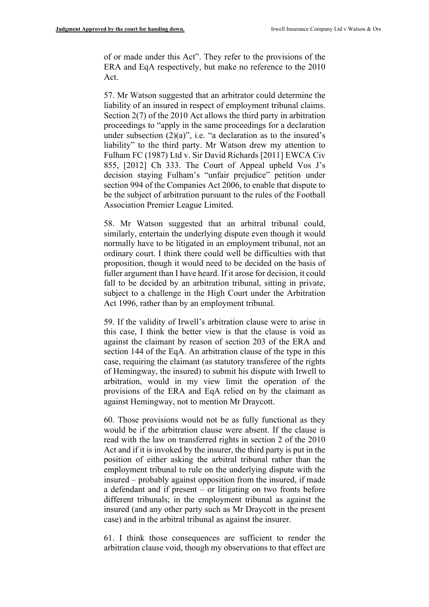of or made under this Act". They refer to the provisions of the ERA and EqA respectively, but make no reference to the 2010 Act.

57. Mr Watson suggested that an arbitrator could determine the liability of an insured in respect of employment tribunal claims. Section 2(7) of the 2010 Act allows the third party in arbitration proceedings to "apply in the same proceedings for a declaration under subsection  $(2)(a)$ ", i.e. "a declaration as to the insured's liability" to the third party. Mr Watson drew my attention to Fulham FC (1987) Ltd v. Sir David Richards [2011] EWCA Civ 855, [2012] Ch 333. The Court of Appeal upheld Vos J's decision staying Fulham's "unfair prejudice" petition under section 994 of the Companies Act 2006, to enable that dispute to be the subject of arbitration pursuant to the rules of the Football Association Premier League Limited.

58. Mr Watson suggested that an arbitral tribunal could, similarly, entertain the underlying dispute even though it would normally have to be litigated in an employment tribunal, not an ordinary court. I think there could well be difficulties with that proposition, though it would need to be decided on the basis of fuller argument than I have heard. If it arose for decision, it could fall to be decided by an arbitration tribunal, sitting in private, subject to a challenge in the High Court under the Arbitration Act 1996, rather than by an employment tribunal.

59. If the validity of Irwell's arbitration clause were to arise in this case, I think the better view is that the clause is void as against the claimant by reason of section 203 of the ERA and section 144 of the EqA. An arbitration clause of the type in this case, requiring the claimant (as statutory transferee of the rights of Hemingway, the insured) to submit his dispute with Irwell to arbitration, would in my view limit the operation of the provisions of the ERA and EqA relied on by the claimant as against Hemingway, not to mention Mr Draycott.

60. Those provisions would not be as fully functional as they would be if the arbitration clause were absent. If the clause is read with the law on transferred rights in section 2 of the 2010 Act and if it is invoked by the insurer, the third party is put in the position of either asking the arbitral tribunal rather than the employment tribunal to rule on the underlying dispute with the insured – probably against opposition from the insured, if made a defendant and if present – or litigating on two fronts before different tribunals; in the employment tribunal as against the insured (and any other party such as Mr Draycott in the present case) and in the arbitral tribunal as against the insurer.

61. I think those consequences are sufficient to render the arbitration clause void, though my observations to that effect are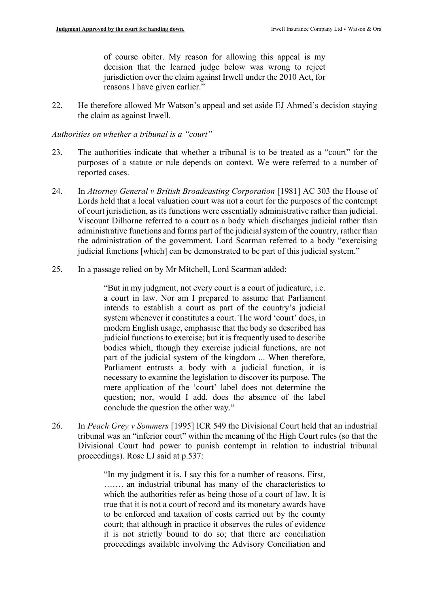of course obiter. My reason for allowing this appeal is my decision that the learned judge below was wrong to reject jurisdiction over the claim against Irwell under the 2010 Act, for reasons I have given earlier."

22. He therefore allowed Mr Watson's appeal and set aside EJ Ahmed's decision staying the claim as against Irwell.

*Authorities on whether a tribunal is a "court"*

- 23. The authorities indicate that whether a tribunal is to be treated as a "court" for the purposes of a statute or rule depends on context. We were referred to a number of reported cases.
- 24. In *Attorney General v British Broadcasting Corporation* [1981] AC 303 the House of Lords held that a local valuation court was not a court for the purposes of the contempt of court jurisdiction, as its functions were essentially administrative rather than judicial. Viscount Dilhorne referred to a court as a body which discharges judicial rather than administrative functions and forms part of the judicial system of the country, rather than the administration of the government. Lord Scarman referred to a body "exercising judicial functions [which] can be demonstrated to be part of this judicial system."
- 25. In a passage relied on by Mr Mitchell, Lord Scarman added:

"But in my judgment, not every court is a court of judicature, i.e. a court in law. Nor am I prepared to assume that Parliament intends to establish a court as part of the country's judicial system whenever it constitutes a court. The word 'court' does, in modern English usage, emphasise that the body so described has judicial functions to exercise; but it is frequently used to describe bodies which, though they exercise judicial functions, are not part of the judicial system of the kingdom ... When therefore, Parliament entrusts a body with a judicial function, it is necessary to examine the legislation to discover its purpose. The mere application of the 'court' label does not determine the question; nor, would I add, does the absence of the label conclude the question the other way."

26. In *Peach Grey v Sommers* [1995] ICR 549 the Divisional Court held that an industrial tribunal was an "inferior court" within the meaning of the High Court rules (so that the Divisional Court had power to punish contempt in relation to industrial tribunal proceedings). Rose LJ said at p.537:

> "In my judgment it is. I say this for a number of reasons. First, ……. an industrial tribunal has many of the characteristics to which the authorities refer as being those of a court of law. It is true that it is not a court of record and its monetary awards have to be enforced and taxation of costs carried out by the county court; that although in practice it observes the rules of evidence it is not strictly bound to do so; that there are conciliation proceedings available involving the Advisory Conciliation and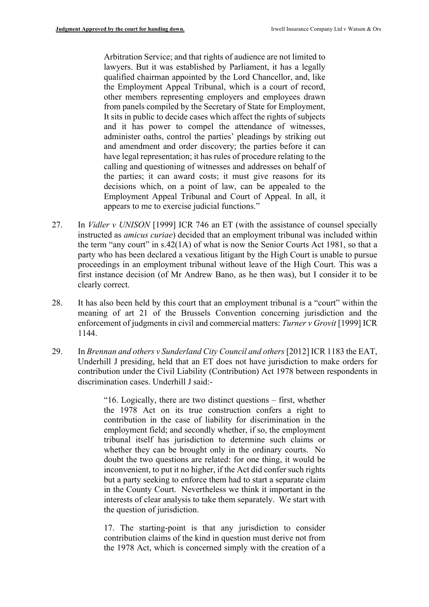Arbitration Service; and that rights of audience are not limited to lawyers. But it was established by Parliament, it has a legally qualified chairman appointed by the Lord Chancellor, and, like the Employment Appeal Tribunal, which is a court of record, other members representing employers and employees drawn from panels compiled by the Secretary of State for Employment, It sits in public to decide cases which affect the rights of subjects and it has power to compel the attendance of witnesses, administer oaths, control the parties' pleadings by striking out and amendment and order discovery; the parties before it can have legal representation; it has rules of procedure relating to the calling and questioning of witnesses and addresses on behalf of the parties; it can award costs; it must give reasons for its decisions which, on a point of law, can be appealed to the Employment Appeal Tribunal and Court of Appeal. In all, it appears to me to exercise judicial functions."

- 27. In *Vidler v UNISON* [1999] ICR 746 an ET (with the assistance of counsel specially instructed as *amicus curiae*) decided that an employment tribunal was included within the term "any court" in s.42(1A) of what is now the Senior Courts Act 1981, so that a party who has been declared a vexatious litigant by the High Court is unable to pursue proceedings in an employment tribunal without leave of the High Court. This was a first instance decision (of Mr Andrew Bano, as he then was), but I consider it to be clearly correct.
- 28. It has also been held by this court that an employment tribunal is a "court" within the meaning of art 21 of the Brussels Convention concerning jurisdiction and the enforcement of judgments in civil and commercial matters: *Turner v Grovit* [1999] ICR 1144.
- 29. In *Brennan and others v Sunderland City Council and others*[2012] ICR 1183 the EAT, Underhill J presiding, held that an ET does not have jurisdiction to make orders for contribution under the Civil Liability (Contribution) Act 1978 between respondents in discrimination cases. Underhill J said:-

"16. Logically, there are two distinct questions – first, whether the 1978 Act on its true construction confers a right to contribution in the case of liability for discrimination in the employment field; and secondly whether, if so, the employment tribunal itself has jurisdiction to determine such claims or whether they can be brought only in the ordinary courts. No doubt the two questions are related: for one thing, it would be inconvenient, to put it no higher, if the Act did confer such rights but a party seeking to enforce them had to start a separate claim in the County Court. Nevertheless we think it important in the interests of clear analysis to take them separately. We start with the question of jurisdiction.

17. The starting-point is that any jurisdiction to consider contribution claims of the kind in question must derive not from the 1978 Act, which is concerned simply with the creation of a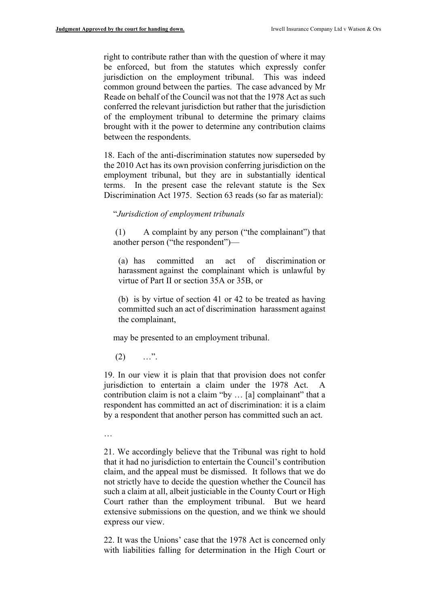right to contribute rather than with the question of where it may be enforced, but from the statutes which expressly confer jurisdiction on the employment tribunal. This was indeed common ground between the parties. The case advanced by Mr Reade on behalf of the Council was not that the 1978 Act as such conferred the relevant jurisdiction but rather that the jurisdiction of the employment tribunal to determine the primary claims brought with it the power to determine any contribution claims between the respondents.

18. Each of the anti-discrimination statutes now superseded by the 2010 Act has its own provision conferring jurisdiction on the employment tribunal, but they are in substantially identical terms. In the present case the relevant statute is the Sex Discrimination Act 1975. Section 63 reads (so far as material):

#### "*Jurisdiction of employment tribunals*

(1) A complaint by any person ("the complainant") that another person ("the respondent")—

(a) has committed an act of discrimination or harassment against the complainant which is unlawful by virtue of Part II or section 35A or 35B, or

(b) is by virtue of section 41 or 42 to be treated as having committed such an act of discrimination harassment against the complainant,

may be presented to an employment tribunal.

 $(2)$  …".

19. In our view it is plain that that provision does not confer jurisdiction to entertain a claim under the 1978 Act. contribution claim is not a claim "by ... [a] complainant" that a respondent has committed an act of discrimination: it is a claim by a respondent that another person has committed such an act.

…

21. We accordingly believe that the Tribunal was right to hold that it had no jurisdiction to entertain the Council's contribution claim, and the appeal must be dismissed. It follows that we do not strictly have to decide the question whether the Council has such a claim at all, albeit justiciable in the County Court or High Court rather than the employment tribunal. But we heard extensive submissions on the question, and we think we should express our view.

22. It was the Unions' case that the 1978 Act is concerned only with liabilities falling for determination in the High Court or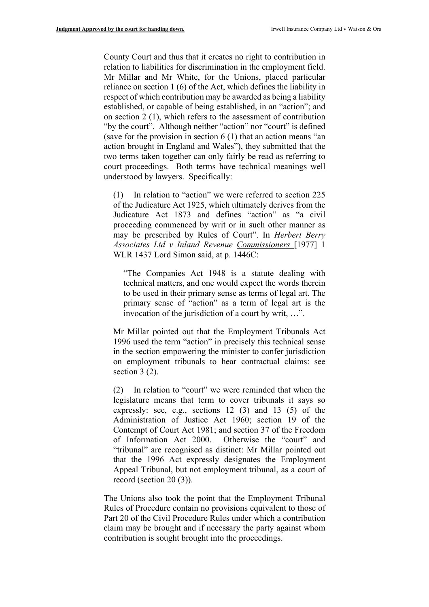County Court and thus that it creates no right to contribution in relation to liabilities for discrimination in the employment field. Mr Millar and Mr White, for the Unions, placed particular reliance on section 1 (6) of the Act, which defines the liability in respect of which contribution may be awarded as being a liability established, or capable of being established, in an "action"; and on section 2 (1), which refers to the assessment of contribution "by the court". Although neither "action" nor "court" is defined (save for the provision in section 6 (1) that an action means "an action brought in England and Wales"), they submitted that the two terms taken together can only fairly be read as referring to court proceedings. Both terms have technical meanings well understood by lawyers. Specifically:

(1) In relation to "action" we were referred to section 225 of the Judicature Act 1925, which ultimately derives from the Judicature Act 1873 and defines "action" as "a civil proceeding commenced by writ or in such other manner as may be prescribed by Rules of Court". In *Herbert Berry Associates Ltd v Inland Revenue Commissioners* [1977] 1 WLR 1437 Lord Simon said, at p. 1446C:

"The Companies Act 1948 is a statute dealing with technical matters, and one would expect the words therein to be used in their primary sense as terms of legal art. The primary sense of "action" as a term of legal art is the invocation of the jurisdiction of a court by writ, …".

Mr Millar pointed out that the Employment Tribunals Act 1996 used the term "action" in precisely this technical sense in the section empowering the minister to confer jurisdiction on employment tribunals to hear contractual claims: see section 3 (2).

(2) In relation to "court" we were reminded that when the legislature means that term to cover tribunals it says so expressly: see, e.g., sections 12 (3) and 13 (5) of the Administration of Justice Act 1960; section 19 of the Contempt of Court Act 1981; and section 37 of the Freedom of Information Act 2000. Otherwise the "court" and "tribunal" are recognised as distinct: Mr Millar pointed out that the 1996 Act expressly designates the Employment Appeal Tribunal, but not employment tribunal, as a court of record (section 20 (3)).

The Unions also took the point that the Employment Tribunal Rules of Procedure contain no provisions equivalent to those of Part 20 of the Civil Procedure Rules under which a contribution claim may be brought and if necessary the party against whom contribution is sought brought into the proceedings.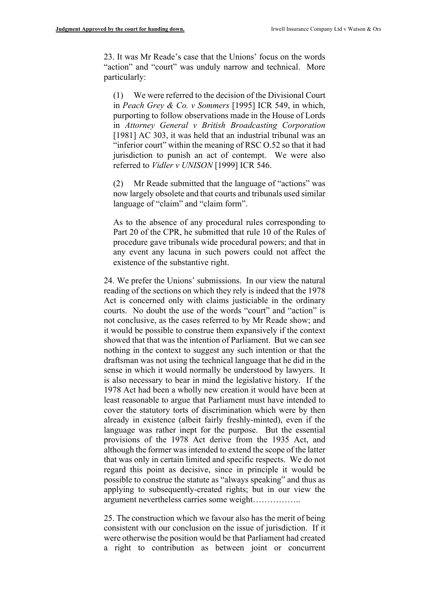23. It was Mr Reade's case that the Unions' focus on the words "action" and "court" was unduly narrow and technical. More particularly:

(1) We were referred to the decision of the Divisional Court in *Peach Grey & Co. v Sommers* [1995] ICR 549, in which, purporting to follow observations made in the House of Lords in *Attorney General v British Broadcasting Corporation*  [1981] AC 303, it was held that an industrial tribunal was an "inferior court" within the meaning of RSC O.52 so that it had jurisdiction to punish an act of contempt. We were also referred to *Vidler v UNISON* [1999] ICR 546.

(2) Mr Reade submitted that the language of "actions" was now largely obsolete and that courts and tribunals used similar language of "claim" and "claim form".

As to the absence of any procedural rules corresponding to Part 20 of the CPR, he submitted that rule 10 of the Rules of procedure gave tribunals wide procedural powers; and that in any event any lacuna in such powers could not affect the existence of the substantive right.

24. We prefer the Unions' submissions. In our view the natural reading of the sections on which they rely is indeed that the 1978 Act is concerned only with claims justiciable in the ordinary courts. No doubt the use of the words "court" and "action" is not conclusive, as the cases referred to by Mr Reade show; and it would be possible to construe them expansively if the context showed that that was the intention of Parliament. But we can see nothing in the context to suggest any such intention or that the draftsman was not using the technical language that he did in the sense in which it would normally be understood by lawyers. It is also necessary to bear in mind the legislative history. If the 1978 Act had been a wholly new creation it would have been at least reasonable to argue that Parliament must have intended to cover the statutory torts of discrimination which were by then already in existence (albeit fairly freshly-minted), even if the language was rather inept for the purpose. But the essential provisions of the 1978 Act derive from the 1935 Act, and although the former was intended to extend the scope of the latter that was only in certain limited and specific respects. We do not regard this point as decisive, since in principle it would be possible to construe the statute as "always speaking" and thus as applying to subsequently-created rights; but in our view the argument nevertheless carries some weight……………..

25. The construction which we favour also has the merit of being consistent with our conclusion on the issue of jurisdiction. If it were otherwise the position would be that Parliament had created a right to contribution as between joint or concurrent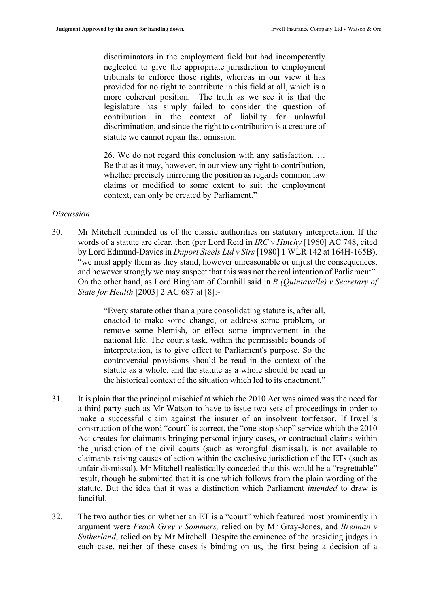discriminators in the employment field but had incompetently neglected to give the appropriate jurisdiction to employment tribunals to enforce those rights, whereas in our view it has provided for no right to contribute in this field at all, which is a more coherent position. The truth as we see it is that the legislature has simply failed to consider the question of contribution in the context of liability for unlawful discrimination, and since the right to contribution is a creature of statute we cannot repair that omission.

26. We do not regard this conclusion with any satisfaction. … Be that as it may, however, in our view any right to contribution, whether precisely mirroring the position as regards common law claims or modified to some extent to suit the employment context, can only be created by Parliament."

#### *Discussion*

30. Mr Mitchell reminded us of the classic authorities on statutory interpretation. If the words of a statute are clear, then (per Lord Reid in *IRC v Hinchy* [1960] AC 748, cited by Lord Edmund-Davies in *Duport Steels Ltd v Sirs* [1980] 1 WLR 142 at 164H-165B), "we must apply them as they stand, however unreasonable or unjust the consequences, and however strongly we may suspect that this was not the real intention of Parliament". On the other hand, as Lord Bingham of Cornhill said in *R (Quintavalle) v Secretary of State for Health* [2003] 2 AC 687 at [8]:-

> "Every statute other than a pure consolidating statute is, after all, enacted to make some change, or address some problem, or remove some blemish, or effect some improvement in the national life. The court's task, within the permissible bounds of interpretation, is to give effect to Parliament's purpose. So the controversial provisions should be read in the context of the statute as a whole, and the statute as a whole should be read in the historical context of the situation which led to its enactment."

- 31. It is plain that the principal mischief at which the 2010 Act was aimed was the need for a third party such as Mr Watson to have to issue two sets of proceedings in order to make a successful claim against the insurer of an insolvent tortfeasor. If Irwell's construction of the word "court" is correct, the "one-stop shop" service which the 2010 Act creates for claimants bringing personal injury cases, or contractual claims within the jurisdiction of the civil courts (such as wrongful dismissal), is not available to claimants raising causes of action within the exclusive jurisdiction of the ETs (such as unfair dismissal). Mr Mitchell realistically conceded that this would be a "regrettable" result, though he submitted that it is one which follows from the plain wording of the statute. But the idea that it was a distinction which Parliament *intended* to draw is fanciful.
- 32. The two authorities on whether an ET is a "court" which featured most prominently in argument were *Peach Grey v Sommers,* relied on by Mr Gray-Jones, and *Brennan v Sutherland*, relied on by Mr Mitchell. Despite the eminence of the presiding judges in each case, neither of these cases is binding on us, the first being a decision of a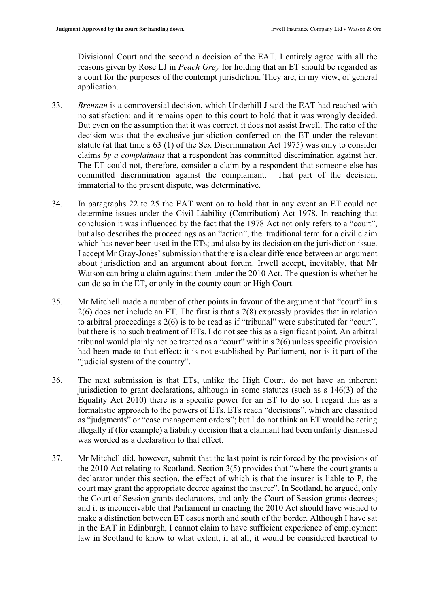Divisional Court and the second a decision of the EAT. I entirely agree with all the reasons given by Rose LJ in *Peach Grey* for holding that an ET should be regarded as a court for the purposes of the contempt jurisdiction. They are, in my view, of general application.

- 33. *Brennan* is a controversial decision, which Underhill J said the EAT had reached with no satisfaction: and it remains open to this court to hold that it was wrongly decided. But even on the assumption that it was correct, it does not assist Irwell. The ratio of the decision was that the exclusive jurisdiction conferred on the ET under the relevant statute (at that time s 63 (1) of the Sex Discrimination Act 1975) was only to consider claims *by a complainant* that a respondent has committed discrimination against her. The ET could not, therefore, consider a claim by a respondent that someone else has committed discrimination against the complainant. That part of the decision, immaterial to the present dispute, was determinative.
- 34. In paragraphs 22 to 25 the EAT went on to hold that in any event an ET could not determine issues under the Civil Liability (Contribution) Act 1978. In reaching that conclusion it was influenced by the fact that the 1978 Act not only refers to a "court", but also describes the proceedings as an "action", the traditional term for a civil claim which has never been used in the ETs; and also by its decision on the jurisdiction issue. I accept Mr Gray-Jones' submission that there is a clear difference between an argument about jurisdiction and an argument about forum. Irwell accept, inevitably, that Mr Watson can bring a claim against them under the 2010 Act. The question is whether he can do so in the ET, or only in the county court or High Court.
- 35. Mr Mitchell made a number of other points in favour of the argument that "court" in s 2(6) does not include an ET. The first is that s 2(8) expressly provides that in relation to arbitral proceedings s 2(6) is to be read as if "tribunal" were substituted for "court", but there is no such treatment of ETs. I do not see this as a significant point. An arbitral tribunal would plainly not be treated as a "court" within s 2(6) unless specific provision had been made to that effect: it is not established by Parliament, nor is it part of the "judicial system of the country".
- 36. The next submission is that ETs, unlike the High Court, do not have an inherent jurisdiction to grant declarations, although in some statutes (such as s 146(3) of the Equality Act 2010) there is a specific power for an ET to do so. I regard this as a formalistic approach to the powers of ETs. ETs reach "decisions", which are classified as "judgments" or "case management orders"; but I do not think an ET would be acting illegally if (for example) a liability decision that a claimant had been unfairly dismissed was worded as a declaration to that effect.
- 37. Mr Mitchell did, however, submit that the last point is reinforced by the provisions of the 2010 Act relating to Scotland. Section 3(5) provides that "where the court grants a declarator under this section, the effect of which is that the insurer is liable to P, the court may grant the appropriate decree against the insurer". In Scotland, he argued, only the Court of Session grants declarators, and only the Court of Session grants decrees; and it is inconceivable that Parliament in enacting the 2010 Act should have wished to make a distinction between ET cases north and south of the border. Although I have sat in the EAT in Edinburgh, I cannot claim to have sufficient experience of employment law in Scotland to know to what extent, if at all, it would be considered heretical to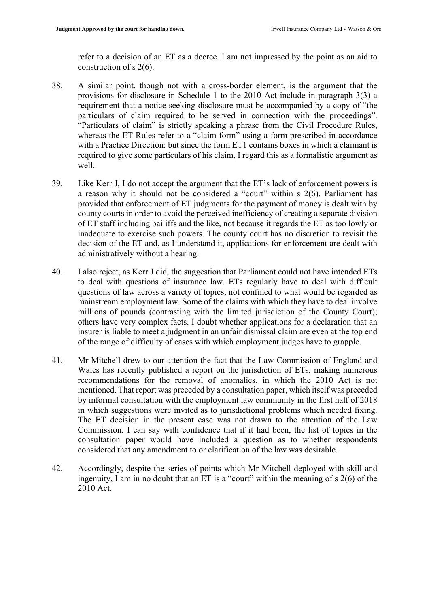refer to a decision of an ET as a decree. I am not impressed by the point as an aid to construction of s 2(6).

- 38. A similar point, though not with a cross-border element, is the argument that the provisions for disclosure in Schedule 1 to the 2010 Act include in paragraph 3(3) a requirement that a notice seeking disclosure must be accompanied by a copy of "the particulars of claim required to be served in connection with the proceedings". "Particulars of claim" is strictly speaking a phrase from the Civil Procedure Rules, whereas the ET Rules refer to a "claim form" using a form prescribed in accordance with a Practice Direction: but since the form ET1 contains boxes in which a claimant is required to give some particulars of his claim, I regard this as a formalistic argument as well.
- 39. Like Kerr J, I do not accept the argument that the ET's lack of enforcement powers is a reason why it should not be considered a "court" within s 2(6). Parliament has provided that enforcement of ET judgments for the payment of money is dealt with by county courts in order to avoid the perceived inefficiency of creating a separate division of ET staff including bailiffs and the like, not because it regards the ET as too lowly or inadequate to exercise such powers. The county court has no discretion to revisit the decision of the ET and, as I understand it, applications for enforcement are dealt with administratively without a hearing.
- 40. I also reject, as Kerr J did, the suggestion that Parliament could not have intended ETs to deal with questions of insurance law. ETs regularly have to deal with difficult questions of law across a variety of topics, not confined to what would be regarded as mainstream employment law. Some of the claims with which they have to deal involve millions of pounds (contrasting with the limited jurisdiction of the County Court); others have very complex facts. I doubt whether applications for a declaration that an insurer is liable to meet a judgment in an unfair dismissal claim are even at the top end of the range of difficulty of cases with which employment judges have to grapple.
- 41. Mr Mitchell drew to our attention the fact that the Law Commission of England and Wales has recently published a report on the jurisdiction of ETs, making numerous recommendations for the removal of anomalies, in which the 2010 Act is not mentioned. That report was preceded by a consultation paper, which itself was preceded by informal consultation with the employment law community in the first half of 2018 in which suggestions were invited as to jurisdictional problems which needed fixing. The ET decision in the present case was not drawn to the attention of the Law Commission. I can say with confidence that if it had been, the list of topics in the consultation paper would have included a question as to whether respondents considered that any amendment to or clarification of the law was desirable.
- 42. Accordingly, despite the series of points which Mr Mitchell deployed with skill and ingenuity, I am in no doubt that an ET is a "court" within the meaning of s 2(6) of the 2010 Act.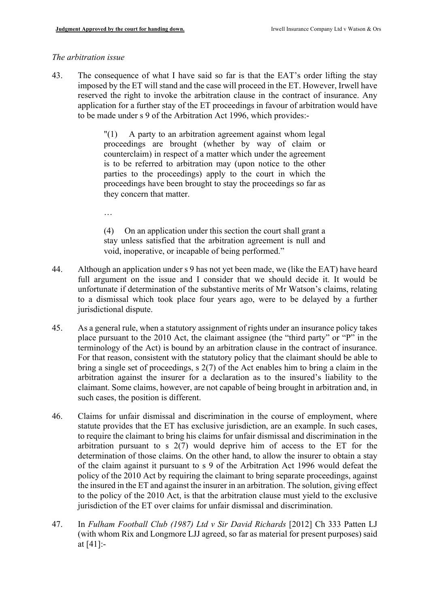…

## *The arbitration issue*

43. The consequence of what I have said so far is that the EAT's order lifting the stay imposed by the ET will stand and the case will proceed in the ET. However, Irwell have reserved the right to invoke the arbitration clause in the contract of insurance. Any application for a further stay of the ET proceedings in favour of arbitration would have to be made under s 9 of the Arbitration Act 1996, which provides:-

> "(1) A party to an arbitration agreement against whom legal proceedings are brought (whether by way of claim or counterclaim) in respect of a matter which under the agreement is to be referred to arbitration may (upon notice to the other parties to the proceedings) apply to the court in which the proceedings have been brought to stay the proceedings so far as they concern that matter.

> (4) On an application under this section the court shall grant a stay unless satisfied that the arbitration agreement is null and void, inoperative, or incapable of being performed."

- 44. Although an application under s 9 has not yet been made, we (like the EAT) have heard full argument on the issue and I consider that we should decide it. It would be unfortunate if determination of the substantive merits of Mr Watson's claims, relating to a dismissal which took place four years ago, were to be delayed by a further jurisdictional dispute.
- 45. As a general rule, when a statutory assignment of rights under an insurance policy takes place pursuant to the 2010 Act, the claimant assignee (the "third party" or "P" in the terminology of the Act) is bound by an arbitration clause in the contract of insurance. For that reason, consistent with the statutory policy that the claimant should be able to bring a single set of proceedings, s 2(7) of the Act enables him to bring a claim in the arbitration against the insurer for a declaration as to the insured's liability to the claimant. Some claims, however, are not capable of being brought in arbitration and, in such cases, the position is different.
- 46. Claims for unfair dismissal and discrimination in the course of employment, where statute provides that the ET has exclusive jurisdiction, are an example. In such cases, to require the claimant to bring his claims for unfair dismissal and discrimination in the arbitration pursuant to s 2(7) would deprive him of access to the ET for the determination of those claims. On the other hand, to allow the insurer to obtain a stay of the claim against it pursuant to s 9 of the Arbitration Act 1996 would defeat the policy of the 2010 Act by requiring the claimant to bring separate proceedings, against the insured in the ET and against the insurer in an arbitration. The solution, giving effect to the policy of the 2010 Act, is that the arbitration clause must yield to the exclusive jurisdiction of the ET over claims for unfair dismissal and discrimination.
- 47. In *Fulham Football Club (1987) Ltd v Sir David Richards* [2012] Ch 333 Patten LJ (with whom Rix and Longmore LJJ agreed, so far as material for present purposes) said at [41]:-